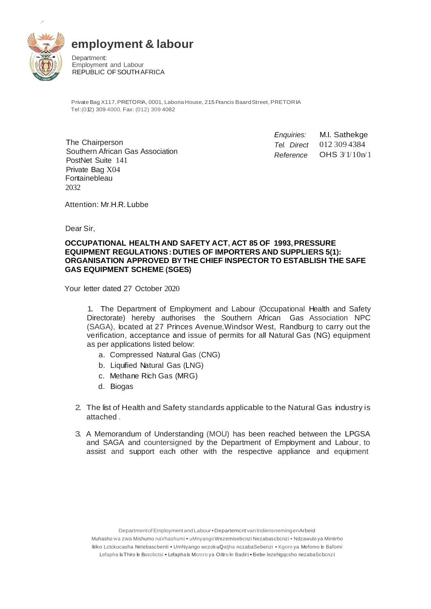

,•

## **employment & labour**

Department: Employment and Labour REPUBLIC OF SOUTH AFRICA

Private Bag X117,PRETORIA, 0001, LaboriaHouse, 215 Francis BaardStreet, PRETORIA Tel:(012) 309 4000, Fax: (012) 309 4082

The Chairperson Southern African Gas Association PostNet Suite 141 Private Bag X04 Fontainebleau 2032

*Enquiries: Tel. Direct Reference* M.I. Sathekge 012 309 4384 OHS 3/1/10n/1

Attention: Mr.H.R. Lubbe

Dear Sir,

## **OCCUPATIONAL HEALTH AND SAFETY ACT, ACT 85 OF 1993,PRESSURE EQUIPMENT REGULATIONS:DUTIES OF IMPORTERS AND SUPPLIERS 5(1): ORGANISATION APPROVED BYTHE CHIEF INSPECTOR TO ESTABLISH THE SAFE GAS EQUIPMENT SCHEME (SGES)**

Your letter dated 27 October 2020

1. The Department of Employment and Labour (Occupational Health and Safety Directorate) hereby authorises the Southern African Gas Association NPC (SAGA), located at 27 Princes Avenue,Windsor West, Randburg to carry out the verification, acceptance and issue of permits for all Natural Gas (NG) equipment as per applications listed below:

- a. Compressed Natural Gas (CNG)
- b. Liquified Natural Gas (LNG)
- c. Methane Rich Gas (MRG)
- d. Biogas
- 2. The list of Health and Safety standards applicable to the Natural Gas industry is attached .
- 3. A Memorandum of Understanding (MOU) has been reached between the LPGSA and SAGA and countersigned by the Department of Employment and Labour, to assist and support each other with the respective appliance and equipment

DepartmentofEmploymentand Labour•Departemcnt van lndiensnemingenArbeid

Muhashowa zwa Mishumo naVhashumi • uMnyangoWezemisebcnzi Nezabascbcnzi • Ndzawulo ya Mintirho litiko Lctckucasha Netebascbenti • UmNyango wczok uQatjha nczabaSebenzi • Kgoro ya Mefomo le Bafomi Lefapha la Thiro le Bascbctsi • Lefaphala Mcrcro ya Oitiro le Badiri • ISebe lezeNgqcsho nezabaScbcnzi